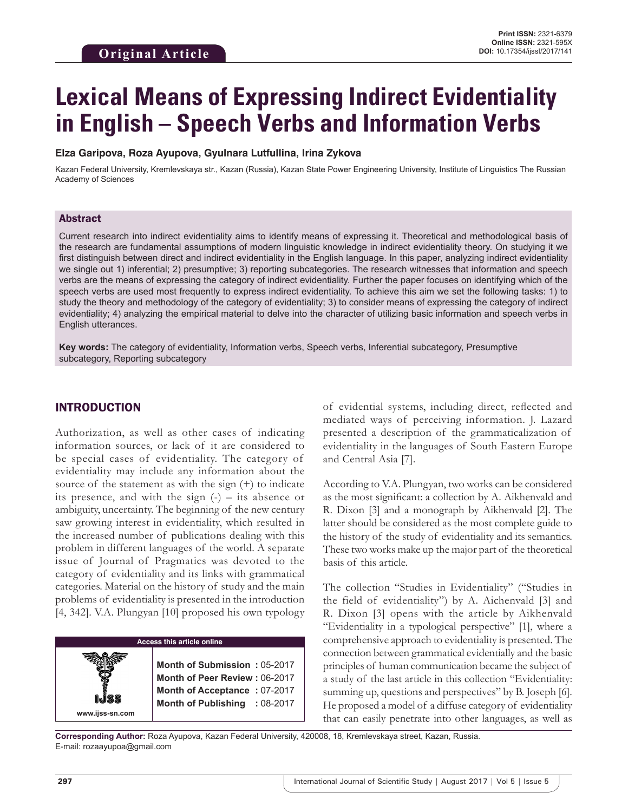# **Lexical Means of Expressing Indirect Evidentiality in English – Speech Verbs and Information Verbs**

#### **Elza Garipova, Roza Ayupova, Gyulnara Lutfullina, Irina Zykova**

Kazan Federal University, Kremlevskaya str., Kazan (Russia), Kazan State Power Engineering University, Institute of Linguistics The Russian Academy of Sciences

#### Abstract

Current research into indirect evidentiality aims to identify means of expressing it. Theoretical and methodological basis of the research are fundamental assumptions of modern linguistic knowledge in indirect evidentiality theory. On studying it we first distinguish between direct and indirect evidentiality in the English language. In this paper, analyzing indirect evidentiality we single out 1) inferential; 2) presumptive; 3) reporting subcategories. The research witnesses that information and speech verbs are the means of expressing the category of indirect evidentiality. Further the paper focuses on identifying which of the speech verbs are used most frequently to express indirect evidentiality. To achieve this aim we set the following tasks: 1) to study the theory and methodology of the category of evidentiality; 3) to consider means of expressing the category of indirect evidentiality; 4) analyzing the empirical material to delve into the character of utilizing basic information and speech verbs in English utterances.

**Key words:** The category of evidentiality, Information verbs, Speech verbs, Inferential subcategory, Presumptive subcategory, Reporting subcategory

#### INTRODUCTION

Authorization, as well as other cases of indicating information sources, or lack of it are considered to be special cases of evidentiality. The category of evidentiality may include any information about the source of the statement as with the sign  $(+)$  to indicate its presence, and with the sign  $(-)$  – its absence or ambiguity, uncertainty. The beginning of the new century saw growing interest in evidentiality, which resulted in the increased number of publications dealing with this problem in different languages of the world. A separate issue of Journal of Pragmatics was devoted to the category of evidentiality and its links with grammatical categories. Material on the history of study and the main problems of evidentiality is presented in the introduction [4, 342]. V.A. Plungyan [10] proposed his own typology

**Access this article online www.ijss-sn.com Month of Submission :** 05-2017 **Month of Peer Review :** 06-2017 **Month of Acceptance :** 07-2017 **Month of Publishing :** 08-2017 of evidential systems, including direct, reflected and mediated ways of perceiving information. J. Lazard presented a description of the grammaticalization of evidentiality in the languages of South Eastern Europe and Central Asia [7].

According to V.A. Plungyan, two works can be considered as the most significant: a collection by A. Aikhenvald and R. Dixon [3] and a monograph by Aikhenvald [2]. The latter should be considered as the most complete guide to the history of the study of evidentiality and its semantics. These two works make up the major part of the theoretical basis of this article.

The collection "Studies in Evidentiality" ("Studies in the field of evidentiality") by A. Aichenvald [3] and R. Dixon [3] opens with the article by Aikhenvald "Evidentiality in a typological perspective" [1], where a comprehensive approach to evidentiality is presented. The connection between grammatical evidentially and the basic principles of human communication became the subject of a study of the last article in this collection "Evidentiality: summing up, questions and perspectives" by B. Joseph [6]. He proposed a model of a diffuse category of evidentiality that can easily penetrate into other languages, as well as

**Corresponding Author:** Roza Ayupova, Kazan Federal University, 420008, 18, Kremlevskaya street, Kazan, Russia. E-mail: rozaayupoa@gmail.com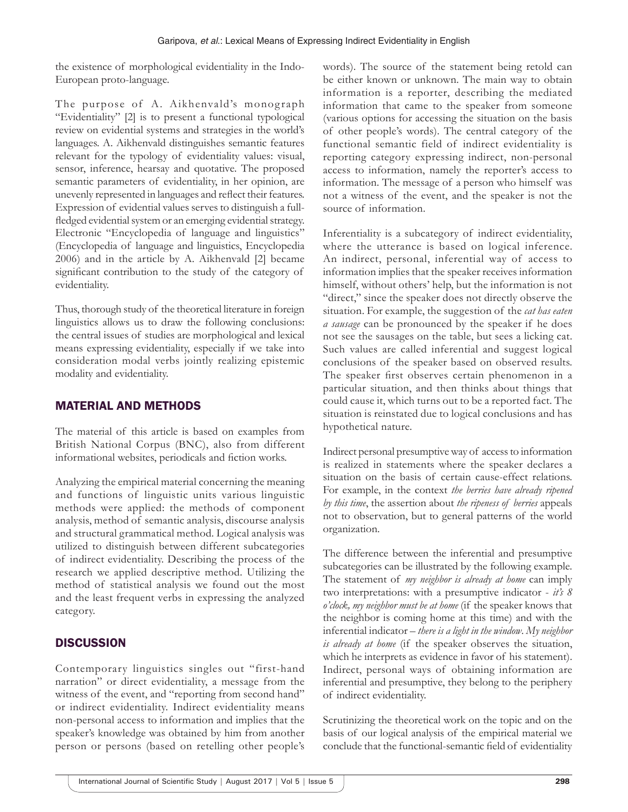the existence of morphological evidentiality in the Indo-European proto-language.

The purpose of A. Aikhenvald's monograph "Evidentiality" [2] is to present a functional typological review on evidential systems and strategies in the world's languages. A. Aikhenvald distinguishes semantic features relevant for the typology of evidentiality values: visual, sensor, inference, hearsay and quotative. The proposed semantic parameters of evidentiality, in her opinion, are unevenly represented in languages and reflect their features. Expression of evidential values serves to distinguish a fullfledged evidential system or an emerging evidential strategy. Electronic "Encyclopedia of language and linguistics" (Encyclopedia of language and linguistics, Encyclopedia 2006) and in the article by A. Aikhenvald [2] became significant contribution to the study of the category of evidentiality.

Thus, thorough study of the theoretical literature in foreign linguistics allows us to draw the following conclusions: the central issues of studies are morphological and lexical means expressing evidentiality, especially if we take into consideration modal verbs jointly realizing epistemic modality and evidentiality.

#### MATERIAL AND METHODS

The material of this article is based on examples from British National Corpus (BNC), also from different informational websites, periodicals and fiction works.

Analyzing the empirical material concerning the meaning and functions of linguistic units various linguistic methods were applied: the methods of component analysis, method of semantic analysis, discourse analysis and structural grammatical method. Logical analysis was utilized to distinguish between different subcategories of indirect evidentiality. Describing the process of the research we applied descriptive method. Utilizing the method of statistical analysis we found out the most and the least frequent verbs in expressing the analyzed category.

## **DISCUSSION**

Contemporary linguistics singles out "first-hand narration" or direct evidentiality, a message from the witness of the event, and "reporting from second hand" or indirect evidentiality. Indirect evidentiality means non-personal access to information and implies that the speaker's knowledge was obtained by him from another person or persons (based on retelling other people's words). The source of the statement being retold can be either known or unknown. The main way to obtain information is a reporter, describing the mediated information that came to the speaker from someone (various options for accessing the situation on the basis of other people's words). The central category of the functional semantic field of indirect evidentiality is reporting category expressing indirect, non-personal access to information, namely the reporter's access to information. The message of a person who himself was not a witness of the event, and the speaker is not the source of information.

Inferentiality is a subcategory of indirect evidentiality, where the utterance is based on logical inference. An indirect, personal, inferential way of access to information implies that the speaker receives information himself, without others' help, but the information is not "direct," since the speaker does not directly observe the situation. For example, the suggestion of the *cat has eaten a sausage* can be pronounced by the speaker if he does not see the sausages on the table, but sees a licking cat. Such values are called inferential and suggest logical conclusions of the speaker based on observed results. The speaker first observes certain phenomenon in a particular situation, and then thinks about things that could cause it, which turns out to be a reported fact. The situation is reinstated due to logical conclusions and has hypothetical nature.

Indirect personal presumptive way of access to information is realized in statements where the speaker declares a situation on the basis of certain cause-effect relations. For example, in the context *the berries have already ripened by this time*, the assertion about *the ripeness of berries* appeals not to observation, but to general patterns of the world organization.

The difference between the inferential and presumptive subcategories can be illustrated by the following example. The statement of *my neighbor is already at home* can imply two interpretations: with a presumptive indicator - *it's 8 o'clock, my neighbor must be at home* (if the speaker knows that the neighbor is coming home at this time) and with the inferential indicator – *there is a light in the window*. *My neighbor is already at home* (if the speaker observes the situation, which he interprets as evidence in favor of his statement). Indirect, personal ways of obtaining information are inferential and presumptive, they belong to the periphery of indirect evidentiality.

Scrutinizing the theoretical work on the topic and on the basis of our logical analysis of the empirical material we conclude that the functional-semantic field of evidentiality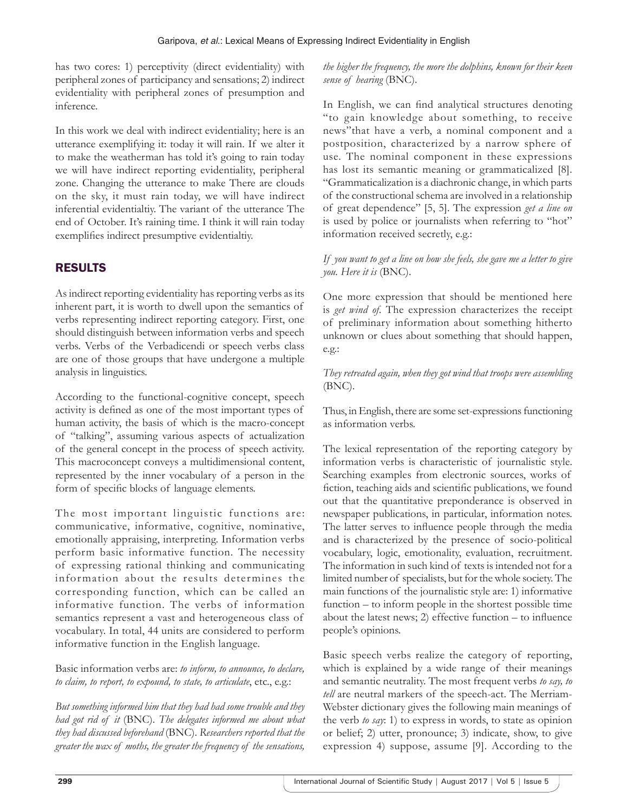has two cores: 1) perceptivity (direct evidentiality) with peripheral zones of participancy and sensations; 2) indirect evidentiality with peripheral zones of presumption and inference.

In this work we deal with indirect evidentiality; here is an utterance exemplifying it: today it will rain. If we alter it to make the weatherman has told it's going to rain today we will have indirect reporting evidentiality, peripheral zone. Changing the utterance to make There are clouds on the sky, it must rain today, we will have indirect inferential evidentialtiy. The variant of the utterance The end of October. It's raining time. I think it will rain today exemplifies indirect presumptive evidentialtiy.

# RESULTS

As indirect reporting evidentiality has reporting verbs as its inherent part, it is worth to dwell upon the semantics of verbs representing indirect reporting category. First, one should distinguish between information verbs and speech verbs. Verbs of the Verbadicendi or speech verbs class are one of those groups that have undergone a multiple analysis in linguistics.

According to the functional-cognitive concept, speech activity is defined as one of the most important types of human activity, the basis of which is the macro-concept of "talking", assuming various aspects of actualization of the general concept in the process of speech activity. This macroconcept conveys a multidimensional content, represented by the inner vocabulary of a person in the form of specific blocks of language elements.

The most important linguistic functions are: communicative, informative, cognitive, nominative, emotionally appraising, interpreting. Information verbs perform basic informative function. The necessity of expressing rational thinking and communicating information about the results determines the corresponding function, which can be called an informative function. The verbs of information semantics represent a vast and heterogeneous class of vocabulary. In total, 44 units are considered to perform informative function in the English language.

Basic information verbs are: *to inform, to announce, to declare, to claim, to report, to expound, to state, to articulate*, etc., e.g.:

*But something informed him that they had had some trouble and they had got rid of it* (BNC). *The delegates informed me about what they had discussed beforehand* (BNC). *Researchers reported that the greater the wax of moths, the greater the frequency of the sensations,* 

*the higher the frequency, the more the dolphins, known for their keen sense of hearing* (BNC).

In English, we can find analytical structures denoting "to gain knowledge about something, to receive news"that have a verb, a nominal component and a postposition, characterized by a narrow sphere of use. The nominal component in these expressions has lost its semantic meaning or grammaticalized [8]. "Grammaticalization is a diachronic change, in which parts of the constructional schema are involved in a relationship of great dependence" [5, 5]. The expression *get a line on* is used by police or journalists when referring to "hot" information received secretly, e.g.:

*If you want to get a line on how she feels, she gave me a letter to give you. Here it is* (BNC).

One more expression that should be mentioned here is *get wind of*. The expression characterizes the receipt of preliminary information about something hitherto unknown or clues about something that should happen, e.g.:

*They retreated again, when they got wind that troops were assembling* (BNC).

Thus, in English, there are some set-expressions functioning as information verbs.

The lexical representation of the reporting category by information verbs is characteristic of journalistic style. Searching examples from electronic sources, works of fiction, teaching aids and scientific publications, we found out that the quantitative preponderance is observed in newspaper publications, in particular, information notes. The latter serves to influence people through the media and is characterized by the presence of socio-political vocabulary, logic, emotionality, evaluation, recruitment. The information in such kind of texts is intended not for a limited number of specialists, but for the whole society. The main functions of the journalistic style are: 1) informative function – to inform people in the shortest possible time about the latest news; 2) effective function – to influence people's opinions.

Basic speech verbs realize the category of reporting, which is explained by a wide range of their meanings and semantic neutrality. The most frequent verbs *to say, to tell* are neutral markers of the speech-act. The Merriam-Webster dictionary gives the following main meanings of the verb *to say*: 1) to express in words, to state as opinion or belief; 2) utter, pronounce; 3) indicate, show, to give expression 4) suppose, assume [9]. According to the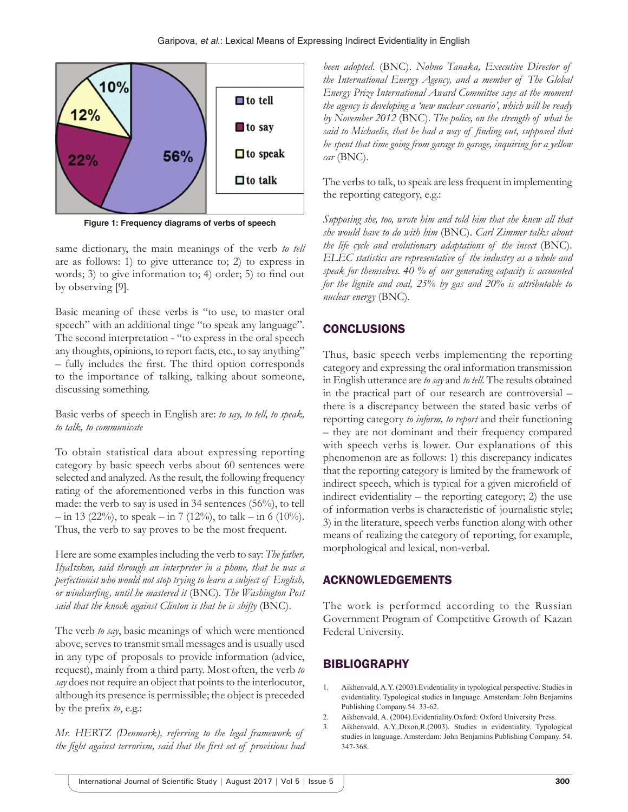

**Figure 1: Frequency diagrams of verbs of speech**

same dictionary, the main meanings of the verb *to tell* are as follows: 1) to give utterance to; 2) to express in words; 3) to give information to; 4) order; 5) to find out by observing [9].

Basic meaning of these verbs is "to use, to master oral speech" with an additional tinge "to speak any language". The second interpretation - "to express in the oral speech any thoughts, opinions, to report facts, etc., to say anything" – fully includes the first. The third option corresponds to the importance of talking, talking about someone, discussing something.

Basic verbs of speech in English are: *to say, to tell, to speak, to talk, to communicate*

To obtain statistical data about expressing reporting category by basic speech verbs about 60 sentences were selected and analyzed. As the result, the following frequency rating of the aforementioned verbs in this function was made: the verb to say is used in 34 sentences (56%), to tell  $-$  in 13 (22%), to speak – in 7 (12%), to talk – in 6 (10%). Thus, the verb to say proves to be the most frequent.

Here are some examples including the verb to say: *The father, IlyaItskov, said through an interpreter in a phone, that he was a perfectionist who would not stop trying to learn a subject of English, or windsurfing, until he mastered it* (BNC). *The Washington Post said that the knock against Clinton is that he is shifty* (BNC).

The verb *to say*, basic meanings of which were mentioned above, serves to transmit small messages and is usually used in any type of proposals to provide information (advice, request), mainly from a third party. Most often, the verb *to say* does not require an object that points to the interlocutor, although its presence is permissible; the object is preceded by the prefix *to*, e.g.:

*Mr. HERTZ (Denmark), referring to the legal framework of the fight against terrorism, said that the first set of provisions had*  *been adopted*. (BNC). *Nobuo Tanaka, Executive Director of the International Energy Agency, and a member of The Global Energy Prize International Award Committee says at the moment the agency is developing a 'new nuclear scenario', which will be ready by November 2012* (BNC). *The police, on the strength of what he said to Michaelis, that he had a way of finding out, supposed that he spent that time going from garage to garage, inquiring for a yellow car* (BNC).

The verbs to talk, to speak are less frequent in implementing the reporting category, e.g.:

*Supposing she, too, wrote him and told him that she knew all that she would have to do with him* (BNC). *Carl Zimmer talks about the life cycle and evolutionary adaptations of the insect* (BNC). *ELEC statistics are representative of the industry as a whole and speak for themselves. 40 % of our generating capacity is accounted for the lignite and coal, 25% by gas and 20% is attributable to nuclear energy* (BNC).

## **CONCLUSIONS**

Thus, basic speech verbs implementing the reporting category and expressing the oral information transmission in English utterance are *to say* and *to tell*. The results obtained in the practical part of our research are controversial – there is a discrepancy between the stated basic verbs of reporting category *to inform, to report* and their functioning – they are not dominant and their frequency compared with speech verbs is lower. Our explanations of this phenomenon are as follows: 1) this discrepancy indicates that the reporting category is limited by the framework of indirect speech, which is typical for a given microfield of indirect evidentiality – the reporting category; 2) the use of information verbs is characteristic of journalistic style; 3) in the literature, speech verbs function along with other means of realizing the category of reporting, for example, morphological and lexical, non-verbal.

## ACKNOWLEDGEMENTS

The work is performed according to the Russian Government Program of Competitive Growth of Kazan Federal University.

# **BIBLIOGRAPHY**

- Aikhenvald, A.Y. (2003). Evidentiality in typological perspective. Studies in evidentiality. Typological studies in language. Amsterdam: John Benjamins Publishing Company.54. 33-62.
- 2. Aikhenvald, A. (2004).Evidentiality.Oxford: Oxford University Press.
- 3. Aikhenvald, A.Y.,Dixon,R.(2003). Studies in evidentiality. Typological studies in language. Amsterdam: John Benjamins Publishing Company. 54. 347-368.